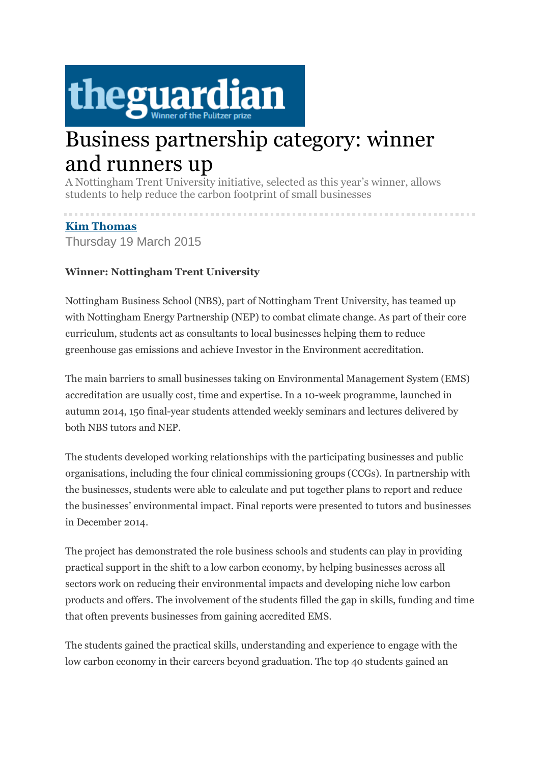

## Business partnership category: winner and runners up

A Nottingham Trent University initiative, selected as this year's winner, allows students to help reduce the carbon footprint of small businesses

## **[Kim Thomas](http://www.theguardian.com/profile/kim-thomas)**

Thursday 19 March 2015

## **Winner: Nottingham Trent University**

Nottingham Business School (NBS), part of Nottingham Trent University, has teamed up with Nottingham Energy Partnership (NEP) to combat climate change. As part of their core curriculum, students act as consultants to local businesses helping them to reduce greenhouse gas emissions and achieve Investor in the Environment accreditation.

The main barriers to small businesses taking on Environmental Management System (EMS) accreditation are usually cost, time and expertise. In a 10-week programme, launched in autumn 2014, 150 final-year students attended weekly seminars and lectures delivered by both NBS tutors and NEP.

The students developed working relationships with the participating businesses and public organisations, including the four clinical commissioning groups (CCGs). In partnership with the businesses, students were able to calculate and put together plans to report and reduce the businesses' environmental impact. Final reports were presented to tutors and businesses in December 2014.

The project has demonstrated the role business schools and students can play in providing practical support in the shift to a low carbon economy, by helping businesses across all sectors work on reducing their environmental impacts and developing niche low carbon products and offers. The involvement of the students filled the gap in skills, funding and time that often prevents businesses from gaining accredited EMS.

The students gained the practical skills, understanding and experience to engage with the low carbon economy in their careers beyond graduation. The top 40 students gained an